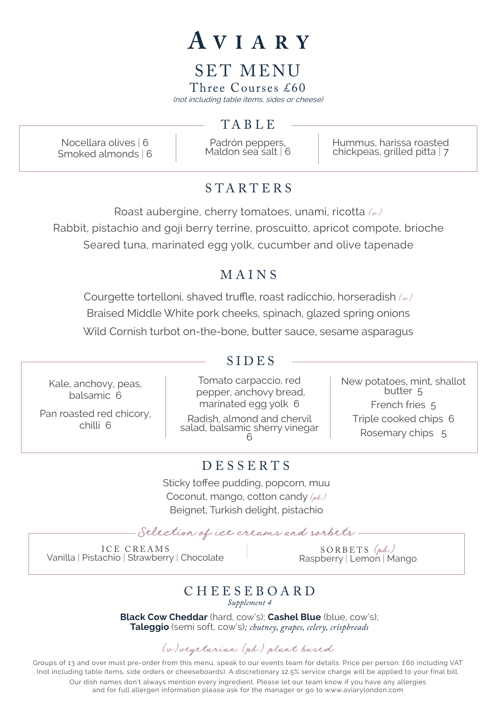## AVIARY

## SET MENU

Three Courses £60 (not including table items, sides or cheese)

#### **TABLE**

Nocellara olives | 6 Smoked almonds | 6

Padrón peppers, Maldon sea salt | 6 Hummus, harissa roasted chickpeas, grilled pitta | 7

#### STARTE R S

Roast aubergine, cherry tomatoes, unami, ricotta  $(\omega)$ Rabbit, pistachio and goji berry terrine, proscuitto, apricot compote, brioche Seared tuna, marinated egg yolk, cucumber and olive tapenade

### MAINS

Courgette tortelloni, shaved truffle, roast radicchio, horseradish  $(\omega)$ Braised Middle White pork cheeks, spinach, glazed spring onions

Wild Cornish turbot on-the-bone, butter sauce, sesame asparagus

Kale, anchovy, peas, balsamic 6

Pan roasted red chicory, chilli 6

## side SIDES

Tomato carpaccio, red pepper, anchovy bread, marinated egg yolk 6 Radish, almond and chervil salad, balsamic sherry vinegar 6 New potatoes, mint, shallot<br>butter 5 French fries 5 Triple cooked chips 6 Rosemary chips 5

#### DESSERTS

Sticky toffee pudding, popcorn, muu Coconut, mango, cotton candy  $(\rho_0 \mathcal{L})$ Beignet, Turkish delight, pistachio

Selection of ice creams and sorbets.

ICE CREAMS Vanilla | Pistachio | Strawberry | Chocolate SORBETS (pb)<br>Raspberry | Lemon | Mango

#### CHEESEBOARD

*Supplement 4*

**Black Cow Cheddar** (hard, cow's); **Cashel Blue** (blue, cow's); **Taleggio** (semi soft, cow's)*; chutney, grapes, celery, crispbreads*

#### (v)vegetarian (pb) plant based

Groups of 13 and over must pre-order from this menu, speak to our events team for details. Price per person: £60 including VAT (not including table items, side orders or cheeseboards). A discretionary 12.5% service charge will be applied to your final bill. Our dish names don't always mention every ingredient. Please let our team know if you have any allergies and for full allergen information please ask for the manager or go to www.aviarylondon.com